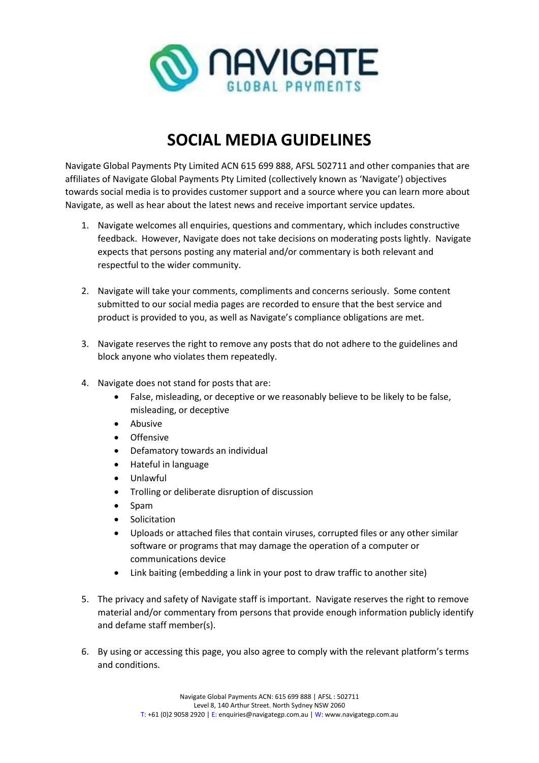

## **SOCIAL MEDIA GUIDELINES**

Navigate Global Payments Pty Limited ACN 615 699 888, AFSL 502711 and other companies that are affiliates of Navigate Global Payments Pty Limited (collectively known as 'Navigate') objectives towards social media is to provides customer support and a source where you can learn more about Navigate, as well as hear about the latest news and receive important service updates.

- 1. Navigate welcomes all enquiries, questions and commentary, which includes constructive feedback. However, Navigate does not take decisions on moderating posts lightly. Navigate expects that persons posting any material and/or commentary is both relevant and respectful to the wider community.
- 2. Navigate will take your comments, compliments and concerns seriously. Some content submitted to our social media pages are recorded to ensure that the best service and product is provided to you, as well as Navigate's compliance obligations are met.
- 3. Navigate reserves the right to remove any posts that do not adhere to the guidelines and block anyone who violates them repeatedly.
- 4. Navigate does not stand for posts that are:
	- False, misleading, or deceptive or we reasonably believe to be likely to be false, misleading, or deceptive
	- Abusive
	- Offensive
	- Defamatory towards an individual
	- Hateful in language
	- Unlawful
	- Trolling or deliberate disruption of discussion
	- Spam
	- Solicitation
	- Uploads or attached files that contain viruses, corrupted files or any other similar software or programs that may damage the operation of a computer or communications device
	- Link baiting (embedding a link in your post to draw traffic to another site)
- 5. The privacy and safety of Navigate staff is important. Navigate reserves the right to remove material and/or commentary from persons that provide enough information publicly identify and defame staff member(s).
- 6. By using or accessing this page, you also agree to comply with the relevant platform's terms and conditions.